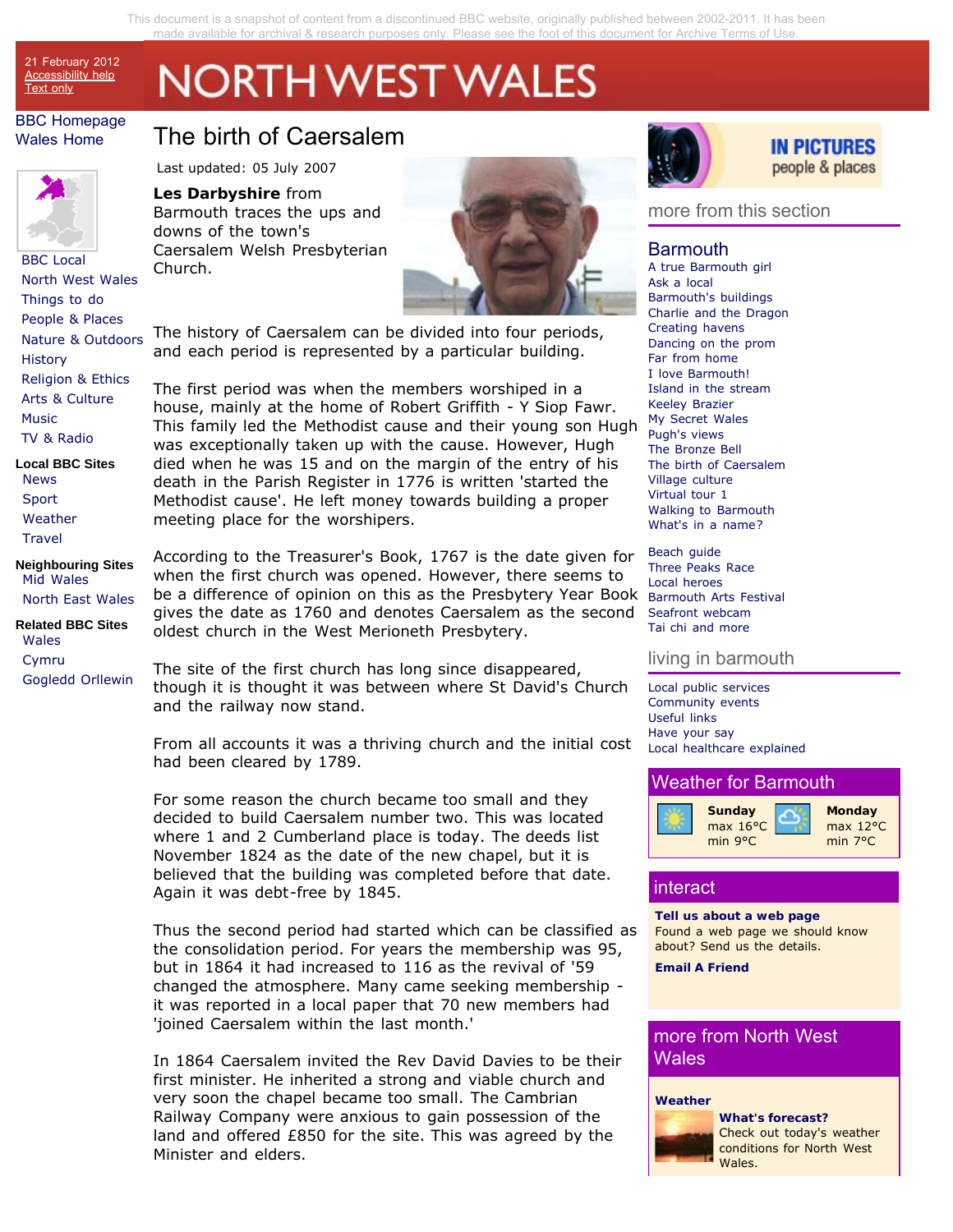This document is a snapshot of content from a discontinued BBC website, originally published between 2002-2011. It has been made available for archival & research purposes only[. Please see the foot of this document for Archive Terms of Use.](#page-3-0) 

# **NORTH WEST WALES**

### BBC Homepage Wales Home

21 February 2012 Accessibility help **Text only** 



BBC Local North West Wales Things to do People & Places Nature & Outdoors **History** Religion & Ethics Arts & Culture Music TV & Radio

**Local BBC Sites** News Sport **Weather Travel** 

**Neighbouring Sites** Mid Wales North East Wales

**Related BBC Sites** Wales Cymru Gogledd Orllewin

## The birth of Caersalem

Last updated: 05 July 2007

### **Les Darbyshire** from

Barmouth traces the ups and downs of the town's Caersalem Welsh Presbyterian Church.



The history of Caersalem can be divided into four periods, and each period is represented by a particular building.

The first period was when the members worshiped in a house, mainly at the home of Robert Griffith - Y Siop Fawr. This family led the Methodist cause and their young son Hugh was exceptionally taken up with the cause. However, Hugh died when he was 15 and on the margin of the entry of his death in the Parish Register in 1776 is written 'started the Methodist cause'. He left money towards building a proper meeting place for the worshipers.

According to the Treasurer's Book, 1767 is the date given for when the first church was opened. However, there seems to be a difference of opinion on this as the Presbytery Year Book gives the date as 1760 and denotes Caersalem as the second oldest church in the West Merioneth Presbytery.

The site of the first church has long since disappeared, though it is thought it was between where St David's Church and the railway now stand.

From all accounts it was a thriving church and the initial cost had been cleared by 1789.

For some reason the church became too small and they decided to build Caersalem number two. This was located where 1 and 2 Cumberland place is today. The deeds list November 1824 as the date of the new chapel, but it is believed that the building was completed before that date. Again it was debt-free by 1845.

Thus the second period had started which can be classified as the consolidation period. For years the membership was 95, but in 1864 it had increased to 116 as the revival of '59 changed the atmosphere. Many came seeking membership it was reported in a local paper that 70 new members had 'joined Caersalem within the last month.'

In 1864 Caersalem invited the Rev David Davies to be their first minister. He inherited a strong and viable church and very soon the chapel became too small. The Cambrian Railway Company were anxious to gain possession of the land and offered £850 for the site. This was agreed by the Minister and elders.



### **IN PICTURES** people & places

### more from this section

### Barmouth

A true Barmouth girl Ask a local Barmouth's buildings Charlie and the Dragon Creating havens Dancing on the prom Far from home I love Barmouth! Island in the stream Keeley Brazier My Secret Wales Pugh's views The Bronze Bell The birth of Caersalem Village culture Virtual tour 1 Walking to Barmouth What's in a name?

Beach guide Three Peaks Race Local heroes Barmouth Arts Festival Seafront webcam Tai chi and more

### living in barmouth

Local public services Community events Useful links Have your say Local healthcare explained

### Weather for Barmouth



### interact

**Tell us about a web page** Found a web page we should know about? Send us the details.

**Email A Friend**

### more from North West Wales

### **Weather**



**What's forecast?** Check out today's weather conditions for North West Wales.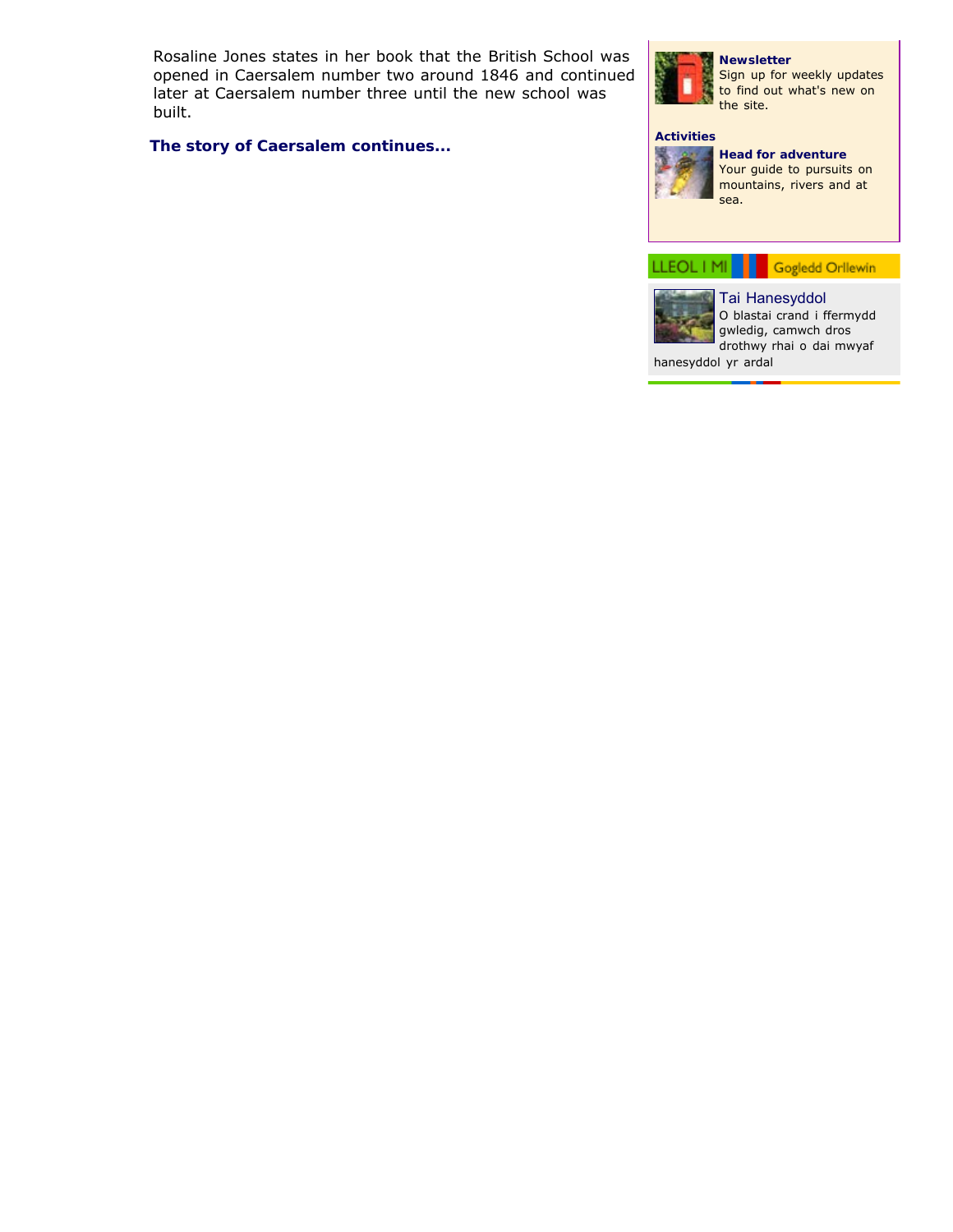Rosaline Jones states in her book that the British School was opened in Caersalem number two around 1846 and continued later at Caersalem number three until the new school was built.

**[The story of Caersalem continues...](#page-2-0)**



Sign up for weekly updates to find out what's new on the site.

**Newsletter**

### **Activities**



**Head for adventure** Your guide to pursuits on mountains, rivers and at

LLEOL | MI | Gogledd Orllewin



Tai Hanesyddol O blastai crand i ffermydd gwledig, camwch dros drothwy rhai o dai mwyaf

hanesyddol yr ardal

sea.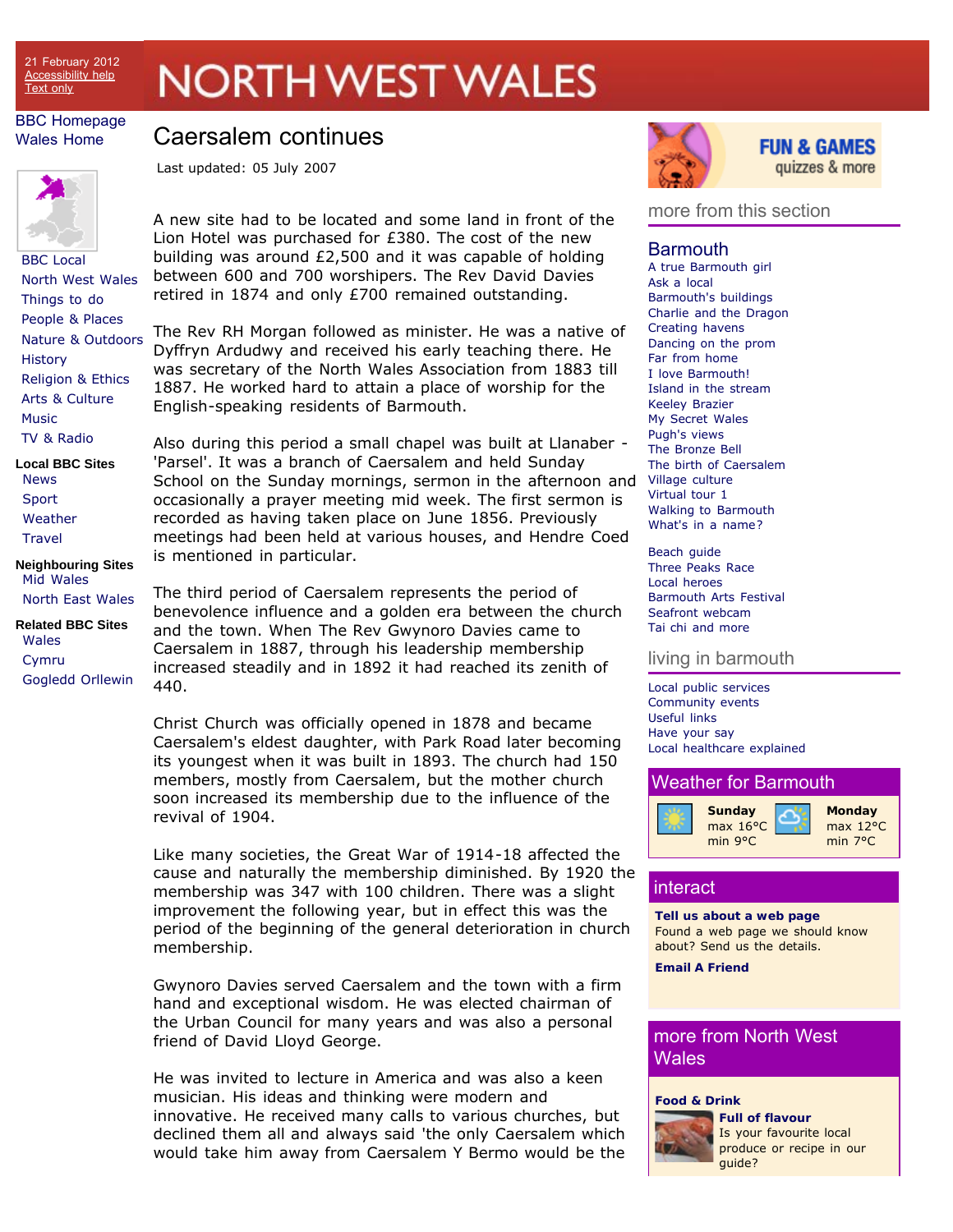# **NORTH WEST WALES**

### <span id="page-2-0"></span>BBC Homepage Wales Home

## Caersalem continues

Last updated: 05 July 2007



BBC Local North West Wales Things to do People & Places Nature & Outdoors **History** Religion & Ethics Arts & Culture Music TV & Radio **Local BBC Sites**

News Sport **Weather Travel** 

**Neighbouring Sites** Mid Wales North East Wales

**Related BBC Sites** Wales Cymru Gogledd Orllewin A new site had to be located and some land in front of the Lion Hotel was purchased for £380. The cost of the new building was around £2,500 and it was capable of holding between 600 and 700 worshipers. The Rev David Davies retired in 1874 and only £700 remained outstanding.

The Rev RH Morgan followed as minister. He was a native of Dyffryn Ardudwy and received his early teaching there. He was secretary of the North Wales Association from 1883 till 1887. He worked hard to attain a place of worship for the English-speaking residents of Barmouth.

Also during this period a small chapel was built at Llanaber - 'Parsel'. It was a branch of Caersalem and held Sunday School on the Sunday mornings, sermon in the afternoon and occasionally a prayer meeting mid week. The first sermon is recorded as having taken place on June 1856. Previously meetings had been held at various houses, and Hendre Coed is mentioned in particular.

The third period of Caersalem represents the period of benevolence influence and a golden era between the church and the town. When The Rev Gwynoro Davies came to Caersalem in 1887, through his leadership membership increased steadily and in 1892 it had reached its zenith of 440.

Christ Church was officially opened in 1878 and became Caersalem's eldest daughter, with Park Road later becoming its youngest when it was built in 1893. The church had 150 members, mostly from Caersalem, but the mother church soon increased its membership due to the influence of the revival of 1904.

Like many societies, the Great War of 1914-18 affected the cause and naturally the membership diminished. By 1920 the membership was 347 with 100 children. There was a slight improvement the following year, but in effect this was the period of the beginning of the general deterioration in church membership.

Gwynoro Davies served Caersalem and the town with a firm hand and exceptional wisdom. He was elected chairman of the Urban Council for many years and was also a personal friend of David Lloyd George.

He was invited to lecture in America and was also a keen musician. His ideas and thinking were modern and innovative. He received many calls to various churches, but declined them all and always said 'the only Caersalem which would take him away from Caersalem Y Bermo would be the



### **FUN & GAMES** quizzes & more

### more from this section

### Barmouth

A true Barmouth girl Ask a local Barmouth's buildings Charlie and the Dragon Creating havens Dancing on the prom Far from home I love Barmouth! Island in the stream Keeley Brazier My Secret Wales Pugh's views The Bronze Bell The birth of Caersalem Village culture Virtual tour 1 Walking to Barmouth What's in a name?

Beach guide Three Peaks Race Local heroes Barmouth Arts Festival Seafront webcam Tai chi and more

### living in barmouth

Local public services Community events Useful links Have your say Local healthcare explained



### interact

**Tell us about a web page** Found a web page we should know about? Send us the details.

**Email A Friend**

### more from North West **Wales**

### **Food & Drink**



**Full of flavour** Is your favourite local produce or recipe in our quide?